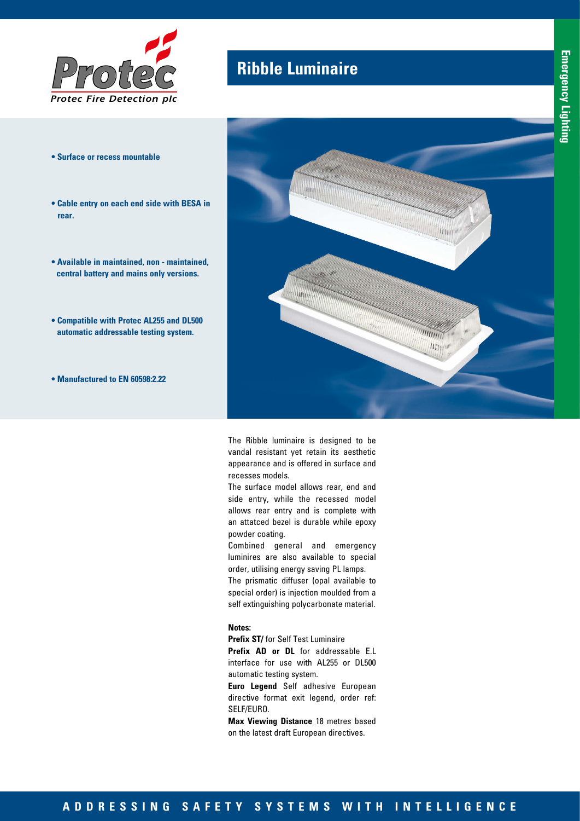

- **Surface or recess mountable**
- **Cable entry on each end side with BESA in rear.**
- **Available in maintained, non maintained, central battery and mains only versions.**
- **Compatible with Protec AL255 and DL500 automatic addressable testing system.**
- **Manufactured to EN 60598:2.22**

## **Ribble Luminaire**



The Ribble luminaire is designed to be vandal resistant yet retain its aesthetic appearance and is offered in surface and recesses models.

The surface model allows rear, end and side entry, while the recessed model allows rear entry and is complete with an attatced bezel is durable while epoxy powder coating.

Combined general and emergency luminires are also available to special order, utilising energy saving PL lamps.

The prismatic diffuser (opal available to special order) is injection moulded from a self extinguishing polycarbonate material.

#### **Notes:**

**Prefix ST/** for Self Test Luminaire

**Prefix AD or DL** for addressable E.L interface for use with AL255 or DL500 automatic testing system.

**Euro Legend** Self adhesive European directive format exit legend, order ref: SELF/EURO.

**Max Viewing Distance** 18 metres based on the latest draft European directives.